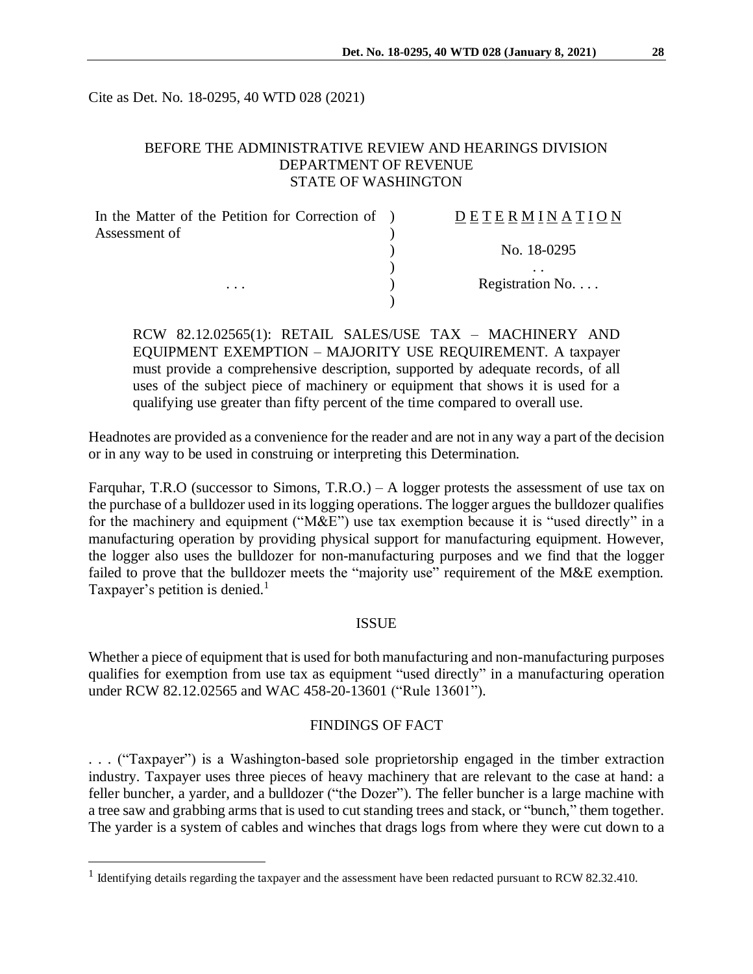Cite as Det. No. 18-0295, 40 WTD 028 (2021)

## BEFORE THE ADMINISTRATIVE REVIEW AND HEARINGS DIVISION DEPARTMENT OF REVENUE STATE OF WASHINGTON

| In the Matter of the Petition for Correction of ) | DETERMINATION            |
|---------------------------------------------------|--------------------------|
| Assessment of                                     |                          |
| $\cdots$                                          | No. 18-0295              |
|                                                   |                          |
|                                                   | Registration No. $\dots$ |
|                                                   |                          |

RCW 82.12.02565(1): RETAIL SALES/USE TAX – MACHINERY AND EQUIPMENT EXEMPTION – MAJORITY USE REQUIREMENT. A taxpayer must provide a comprehensive description, supported by adequate records, of all uses of the subject piece of machinery or equipment that shows it is used for a qualifying use greater than fifty percent of the time compared to overall use.

Headnotes are provided as a convenience for the reader and are not in any way a part of the decision or in any way to be used in construing or interpreting this Determination.

Farquhar, T.R.O (successor to Simons, T.R.O.) – A logger protests the assessment of use tax on the purchase of a bulldozer used in its logging operations. The logger argues the bulldozer qualifies for the machinery and equipment ("M&E") use tax exemption because it is "used directly" in a manufacturing operation by providing physical support for manufacturing equipment. However, the logger also uses the bulldozer for non-manufacturing purposes and we find that the logger failed to prove that the bulldozer meets the "majority use" requirement of the M&E exemption. Taxpayer's petition is denied.<sup>1</sup>

#### ISSUE

Whether a piece of equipment that is used for both manufacturing and non-manufacturing purposes qualifies for exemption from use tax as equipment "used directly" in a manufacturing operation under RCW 82.12.02565 and WAC 458-20-13601 ("Rule 13601").

## FINDINGS OF FACT

. . . ("Taxpayer") is a Washington-based sole proprietorship engaged in the timber extraction industry. Taxpayer uses three pieces of heavy machinery that are relevant to the case at hand: a feller buncher, a yarder, and a bulldozer ("the Dozer"). The feller buncher is a large machine with a tree saw and grabbing arms that is used to cut standing trees and stack, or "bunch," them together. The yarder is a system of cables and winches that drags logs from where they were cut down to a

 $\overline{a}$ 

<sup>&</sup>lt;sup>1</sup> Identifying details regarding the taxpayer and the assessment have been redacted pursuant to RCW 82.32.410.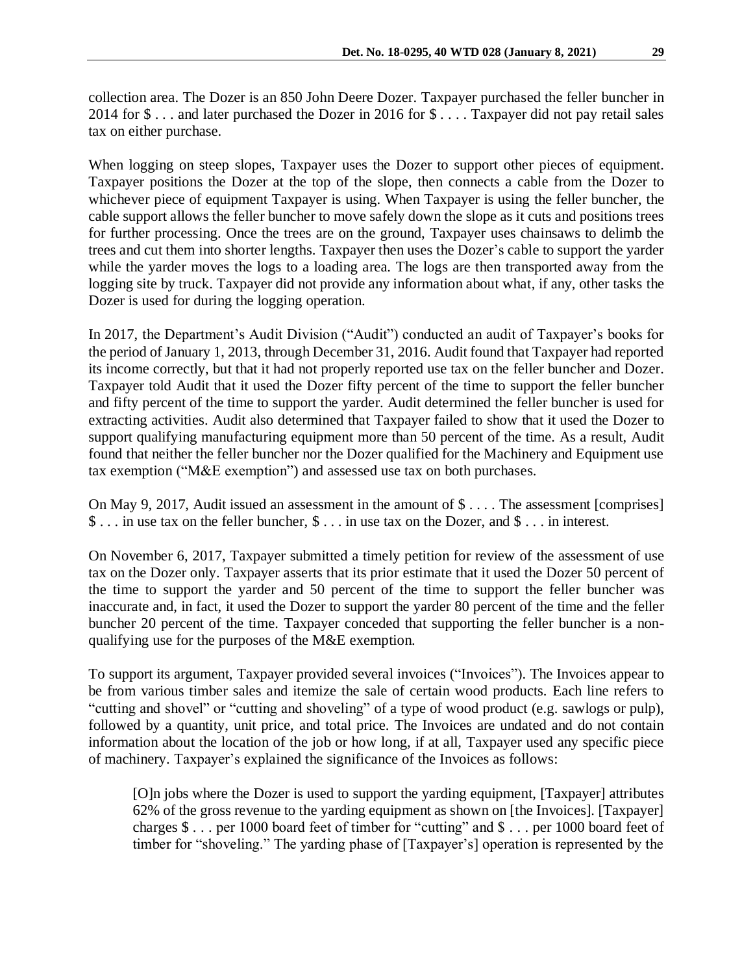collection area. The Dozer is an 850 John Deere Dozer. Taxpayer purchased the feller buncher in 2014 for \$ . . . and later purchased the Dozer in 2016 for \$ . . . . Taxpayer did not pay retail sales tax on either purchase.

When logging on steep slopes, Taxpayer uses the Dozer to support other pieces of equipment. Taxpayer positions the Dozer at the top of the slope, then connects a cable from the Dozer to whichever piece of equipment Taxpayer is using. When Taxpayer is using the feller buncher, the cable support allows the feller buncher to move safely down the slope as it cuts and positions trees for further processing. Once the trees are on the ground, Taxpayer uses chainsaws to delimb the trees and cut them into shorter lengths. Taxpayer then uses the Dozer's cable to support the yarder while the yarder moves the logs to a loading area. The logs are then transported away from the logging site by truck. Taxpayer did not provide any information about what, if any, other tasks the Dozer is used for during the logging operation.

In 2017, the Department's Audit Division ("Audit") conducted an audit of Taxpayer's books for the period of January 1, 2013, through December 31, 2016. Audit found that Taxpayer had reported its income correctly, but that it had not properly reported use tax on the feller buncher and Dozer. Taxpayer told Audit that it used the Dozer fifty percent of the time to support the feller buncher and fifty percent of the time to support the yarder. Audit determined the feller buncher is used for extracting activities. Audit also determined that Taxpayer failed to show that it used the Dozer to support qualifying manufacturing equipment more than 50 percent of the time. As a result, Audit found that neither the feller buncher nor the Dozer qualified for the Machinery and Equipment use tax exemption ("M&E exemption") and assessed use tax on both purchases.

On May 9, 2017, Audit issued an assessment in the amount of \$ . . . . The assessment [comprises] \$ . . . in use tax on the feller buncher, \$ . . . in use tax on the Dozer, and \$ . . . in interest.

On November 6, 2017, Taxpayer submitted a timely petition for review of the assessment of use tax on the Dozer only. Taxpayer asserts that its prior estimate that it used the Dozer 50 percent of the time to support the yarder and 50 percent of the time to support the feller buncher was inaccurate and, in fact, it used the Dozer to support the yarder 80 percent of the time and the feller buncher 20 percent of the time. Taxpayer conceded that supporting the feller buncher is a nonqualifying use for the purposes of the M&E exemption.

To support its argument, Taxpayer provided several invoices ("Invoices"). The Invoices appear to be from various timber sales and itemize the sale of certain wood products. Each line refers to "cutting and shovel" or "cutting and shoveling" of a type of wood product (e.g. sawlogs or pulp), followed by a quantity, unit price, and total price. The Invoices are undated and do not contain information about the location of the job or how long, if at all, Taxpayer used any specific piece of machinery. Taxpayer's explained the significance of the Invoices as follows:

[O]n jobs where the Dozer is used to support the yarding equipment, [Taxpayer] attributes 62% of the gross revenue to the yarding equipment as shown on [the Invoices]. [Taxpayer] charges \$ . . . per 1000 board feet of timber for "cutting" and \$ . . . per 1000 board feet of timber for "shoveling." The yarding phase of [Taxpayer's] operation is represented by the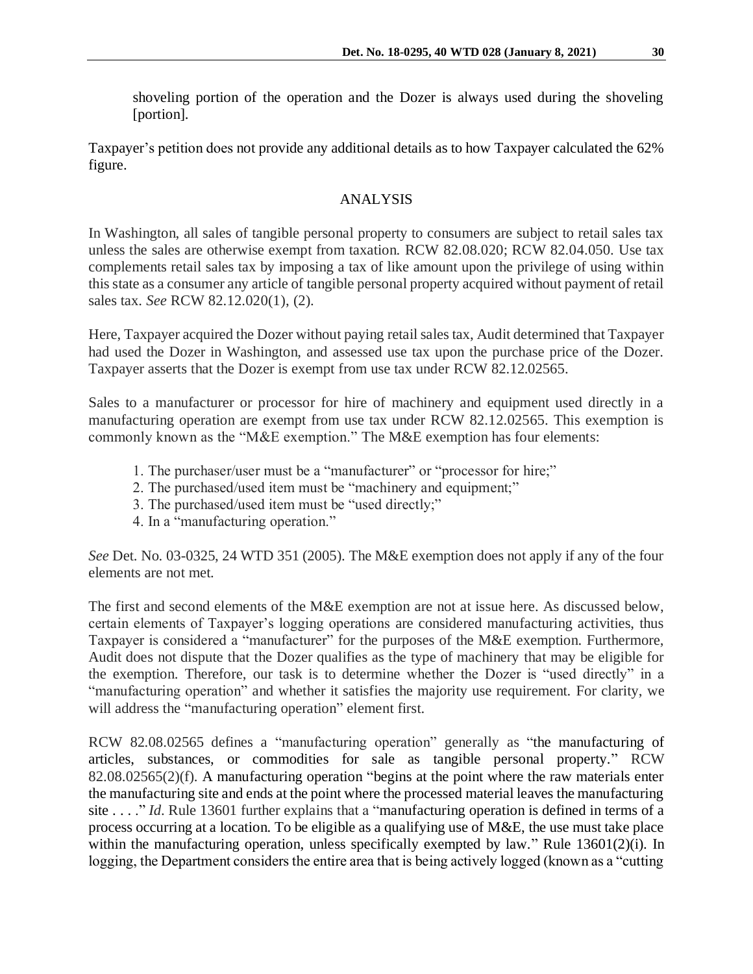shoveling portion of the operation and the Dozer is always used during the shoveling [portion].

Taxpayer's petition does not provide any additional details as to how Taxpayer calculated the 62% figure.

#### ANALYSIS

In Washington, all sales of tangible personal property to consumers are subject to retail sales tax unless the sales are otherwise exempt from taxation. RCW 82.08.020; RCW 82.04.050. Use tax complements retail sales tax by imposing a tax of like amount upon the privilege of using within this state as a consumer any article of tangible personal property acquired without payment of retail sales tax. *See* RCW 82.12.020(1), (2).

Here, Taxpayer acquired the Dozer without paying retail sales tax, Audit determined that Taxpayer had used the Dozer in Washington, and assessed use tax upon the purchase price of the Dozer. Taxpayer asserts that the Dozer is exempt from use tax under RCW 82.12.02565.

Sales to a manufacturer or processor for hire of machinery and equipment used directly in a manufacturing operation are exempt from use tax under RCW 82.12.02565. This exemption is commonly known as the "M&E exemption." The M&E exemption has four elements:

- 1. The purchaser/user must be a "manufacturer" or "processor for hire;"
- 2. The purchased/used item must be "machinery and equipment;"
- 3. The purchased/used item must be "used directly;"
- 4. In a "manufacturing operation."

*See* Det. No. 03-0325, 24 WTD 351 (2005). The M&E exemption does not apply if any of the four elements are not met.

The first and second elements of the M&E exemption are not at issue here. As discussed below, certain elements of Taxpayer's logging operations are considered manufacturing activities, thus Taxpayer is considered a "manufacturer" for the purposes of the M&E exemption. Furthermore, Audit does not dispute that the Dozer qualifies as the type of machinery that may be eligible for the exemption. Therefore, our task is to determine whether the Dozer is "used directly" in a "manufacturing operation" and whether it satisfies the majority use requirement. For clarity, we will address the "manufacturing operation" element first.

RCW 82.08.02565 defines a "manufacturing operation" generally as "the manufacturing of articles, substances, or commodities for sale as tangible personal property." RCW 82.08.02565(2)(f). A manufacturing operation "begins at the point where the raw materials enter the manufacturing site and ends at the point where the processed material leaves the manufacturing site . . . ." *Id*. Rule 13601 further explains that a "manufacturing operation is defined in terms of a process occurring at a location. To be eligible as a qualifying use of M&E, the use must take place within the manufacturing operation, unless specifically exempted by law." Rule 13601(2)(i). In logging, the Department considers the entire area that is being actively logged (known as a "cutting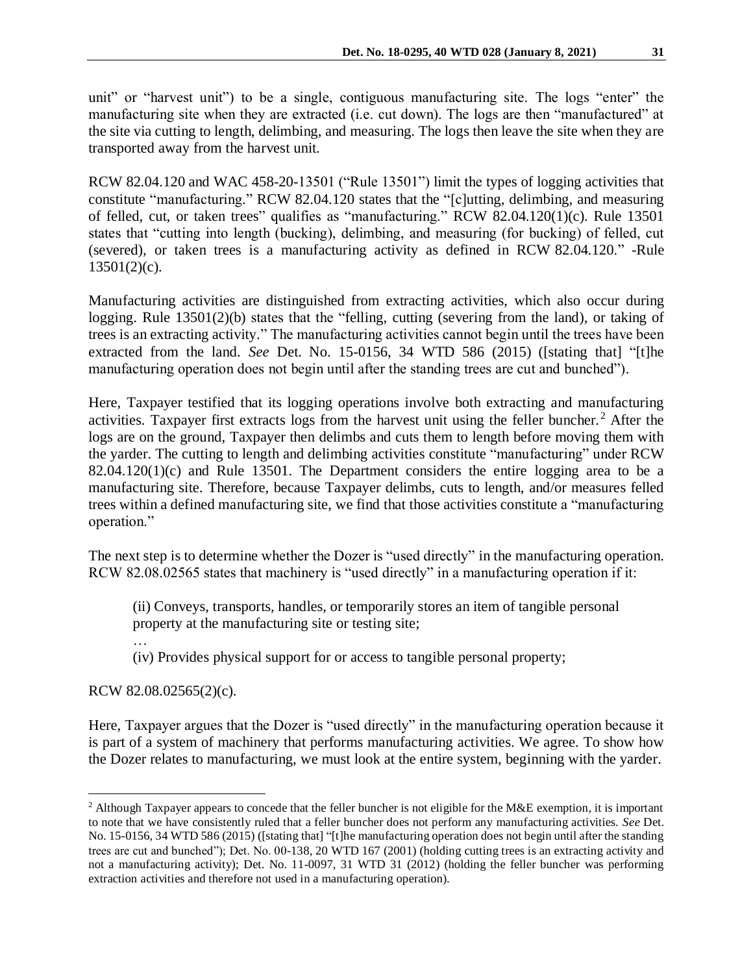unit" or "harvest unit") to be a single, contiguous manufacturing site. The logs "enter" the manufacturing site when they are extracted (i.e. cut down). The logs are then "manufactured" at the site via cutting to length, delimbing, and measuring. The logs then leave the site when they are transported away from the harvest unit.

RCW 82.04.120 and WAC 458-20-13501 ("Rule 13501") limit the types of logging activities that constitute "manufacturing." RCW 82.04.120 states that the "[c]utting, delimbing, and measuring of felled, cut, or taken trees" qualifies as "manufacturing." RCW 82.04.120(1)(c). Rule 13501 states that "cutting into length (bucking), delimbing, and measuring (for bucking) of felled, cut (severed), or taken trees is a manufacturing activity as defined in RCW 82.04.120." -Rule  $13501(2)(c)$ .

Manufacturing activities are distinguished from extracting activities, which also occur during logging. Rule 13501(2)(b) states that the "felling, cutting (severing from the land), or taking of trees is an extracting activity." The manufacturing activities cannot begin until the trees have been extracted from the land. *See* Det. No. 15-0156, 34 WTD 586 (2015) ([stating that] "[t]he manufacturing operation does not begin until after the standing trees are cut and bunched").

Here, Taxpayer testified that its logging operations involve both extracting and manufacturing activities. Taxpayer first extracts logs from the harvest unit using the feller buncher. <sup>2</sup> After the logs are on the ground, Taxpayer then delimbs and cuts them to length before moving them with the yarder. The cutting to length and delimbing activities constitute "manufacturing" under RCW  $82.04.120(1)(c)$  and Rule 13501. The Department considers the entire logging area to be a manufacturing site. Therefore, because Taxpayer delimbs, cuts to length, and/or measures felled trees within a defined manufacturing site, we find that those activities constitute a "manufacturing operation."

The next step is to determine whether the Dozer is "used directly" in the manufacturing operation. RCW 82.08.02565 states that machinery is "used directly" in a manufacturing operation if it:

- (ii) Conveys, transports, handles, or temporarily stores an item of tangible personal property at the manufacturing site or testing site;
- …

 $\overline{a}$ 

(iv) Provides physical support for or access to tangible personal property;

RCW 82.08.02565(2)(c).

Here, Taxpayer argues that the Dozer is "used directly" in the manufacturing operation because it is part of a system of machinery that performs manufacturing activities. We agree. To show how the Dozer relates to manufacturing, we must look at the entire system, beginning with the yarder.

<sup>&</sup>lt;sup>2</sup> Although Taxpayer appears to concede that the feller buncher is not eligible for the M&E exemption, it is important to note that we have consistently ruled that a feller buncher does not perform any manufacturing activities. *See* Det. No. 15-0156, 34 WTD 586 (2015) ([stating that] "[t]he manufacturing operation does not begin until after the standing trees are cut and bunched"); Det. No. 00-138, 20 WTD 167 (2001) (holding cutting trees is an extracting activity and not a manufacturing activity); Det. No. 11-0097, 31 WTD 31 (2012) (holding the feller buncher was performing extraction activities and therefore not used in a manufacturing operation).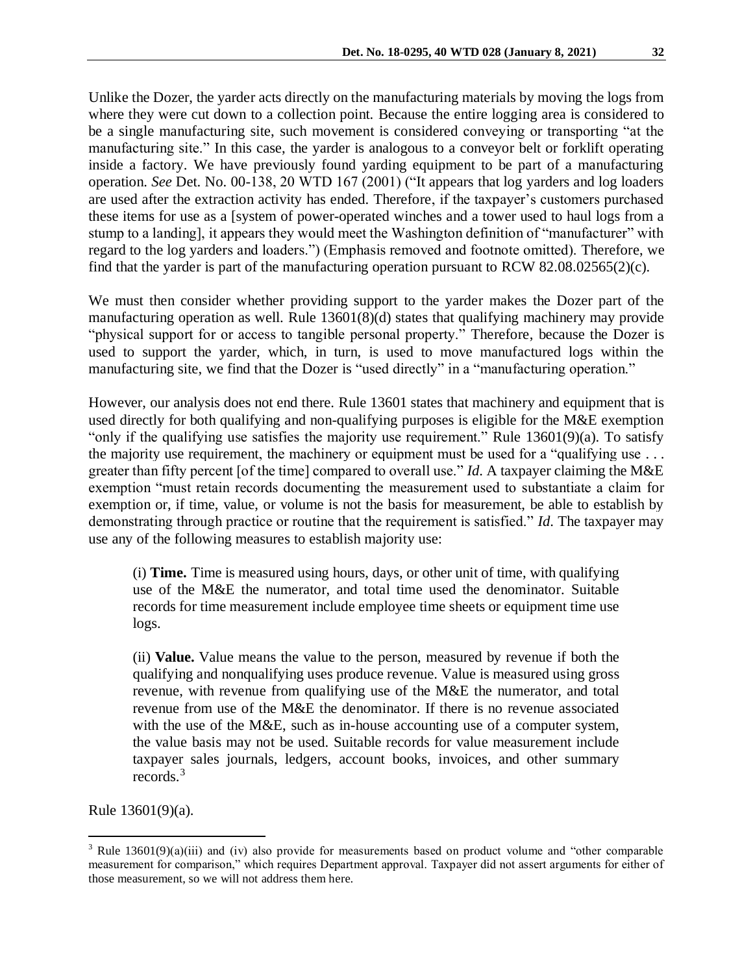Unlike the Dozer, the yarder acts directly on the manufacturing materials by moving the logs from where they were cut down to a collection point. Because the entire logging area is considered to be a single manufacturing site, such movement is considered conveying or transporting "at the manufacturing site." In this case, the yarder is analogous to a conveyor belt or forklift operating inside a factory. We have previously found yarding equipment to be part of a manufacturing operation. *See* Det. No. 00-138, 20 WTD 167 (2001) ("It appears that log yarders and log loaders are used after the extraction activity has ended. Therefore, if the taxpayer's customers purchased these items for use as a [system of power-operated winches and a tower used to haul logs from a stump to a landing], it appears they would meet the Washington definition of "manufacturer" with regard to the log yarders and loaders.") (Emphasis removed and footnote omitted). Therefore, we find that the yarder is part of the manufacturing operation pursuant to RCW 82.08.02565(2)(c).

We must then consider whether providing support to the yarder makes the Dozer part of the manufacturing operation as well. Rule 13601(8)(d) states that qualifying machinery may provide "physical support for or access to tangible personal property." Therefore, because the Dozer is used to support the yarder, which, in turn, is used to move manufactured logs within the manufacturing site, we find that the Dozer is "used directly" in a "manufacturing operation."

However, our analysis does not end there. Rule 13601 states that machinery and equipment that is used directly for both qualifying and non-qualifying purposes is eligible for the M&E exemption "only if the qualifying use satisfies the majority use requirement." Rule 13601(9)(a). To satisfy the majority use requirement, the machinery or equipment must be used for a "qualifying use . . . greater than fifty percent [of the time] compared to overall use." *Id*. A taxpayer claiming the M&E exemption "must retain records documenting the measurement used to substantiate a claim for exemption or, if time, value, or volume is not the basis for measurement, be able to establish by demonstrating through practice or routine that the requirement is satisfied." *Id*. The taxpayer may use any of the following measures to establish majority use:

(i) **Time.** Time is measured using hours, days, or other unit of time, with qualifying use of the M&E the numerator, and total time used the denominator. Suitable records for time measurement include employee time sheets or equipment time use logs.

(ii) **Value.** Value means the value to the person, measured by revenue if both the qualifying and nonqualifying uses produce revenue. Value is measured using gross revenue, with revenue from qualifying use of the M&E the numerator, and total revenue from use of the M&E the denominator. If there is no revenue associated with the use of the M&E, such as in-house accounting use of a computer system, the value basis may not be used. Suitable records for value measurement include taxpayer sales journals, ledgers, account books, invoices, and other summary records.<sup>3</sup>

Rule 13601(9)(a).

 $\overline{a}$ 

<sup>&</sup>lt;sup>3</sup> Rule 13601(9)(a)(iii) and (iv) also provide for measurements based on product volume and "other comparable" measurement for comparison," which requires Department approval. Taxpayer did not assert arguments for either of those measurement, so we will not address them here.